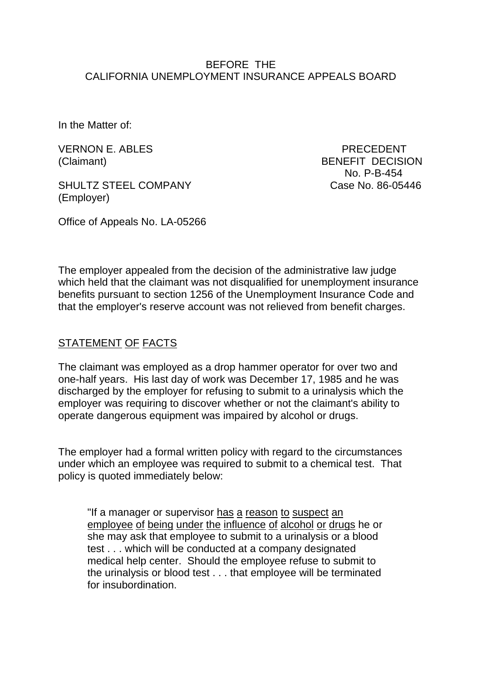#### BEFORE THE CALIFORNIA UNEMPLOYMENT INSURANCE APPEALS BOARD

In the Matter of:

VERNON E. ABLES PRECEDENT

SHULTZ STEEL COMPANY Case No. 86-05446 (Employer)

(Claimant) BENEFIT DECISION No. P-B-454

Office of Appeals No. LA-05266

The employer appealed from the decision of the administrative law judge which held that the claimant was not disqualified for unemployment insurance benefits pursuant to section 1256 of the Unemployment Insurance Code and that the employer's reserve account was not relieved from benefit charges.

# STATEMENT OF FACTS

The claimant was employed as a drop hammer operator for over two and one-half years. His last day of work was December 17, 1985 and he was discharged by the employer for refusing to submit to a urinalysis which the employer was requiring to discover whether or not the claimant's ability to operate dangerous equipment was impaired by alcohol or drugs.

The employer had a formal written policy with regard to the circumstances under which an employee was required to submit to a chemical test. That policy is quoted immediately below:

"If a manager or supervisor has a reason to suspect an employee of being under the influence of alcohol or drugs he or she may ask that employee to submit to a urinalysis or a blood test . . . which will be conducted at a company designated medical help center. Should the employee refuse to submit to the urinalysis or blood test . . . that employee will be terminated for insubordination.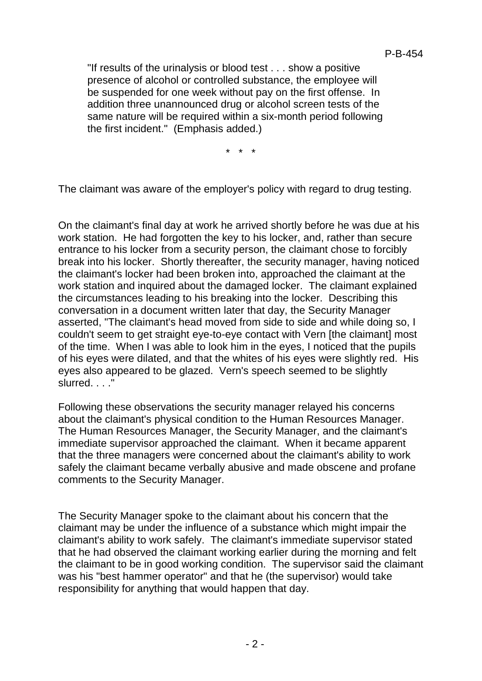"If results of the urinalysis or blood test . . . show a positive presence of alcohol or controlled substance, the employee will be suspended for one week without pay on the first offense. In addition three unannounced drug or alcohol screen tests of the same nature will be required within a six-month period following the first incident." (Emphasis added.)

\* \* \*

The claimant was aware of the employer's policy with regard to drug testing.

On the claimant's final day at work he arrived shortly before he was due at his work station. He had forgotten the key to his locker, and, rather than secure entrance to his locker from a security person, the claimant chose to forcibly break into his locker. Shortly thereafter, the security manager, having noticed the claimant's locker had been broken into, approached the claimant at the work station and inquired about the damaged locker. The claimant explained the circumstances leading to his breaking into the locker. Describing this conversation in a document written later that day, the Security Manager asserted, "The claimant's head moved from side to side and while doing so, I couldn't seem to get straight eye-to-eye contact with Vern [the claimant] most of the time. When I was able to look him in the eyes, I noticed that the pupils of his eyes were dilated, and that the whites of his eyes were slightly red. His eyes also appeared to be glazed. Vern's speech seemed to be slightly slurred. . . ."

Following these observations the security manager relayed his concerns about the claimant's physical condition to the Human Resources Manager. The Human Resources Manager, the Security Manager, and the claimant's immediate supervisor approached the claimant. When it became apparent that the three managers were concerned about the claimant's ability to work safely the claimant became verbally abusive and made obscene and profane comments to the Security Manager.

The Security Manager spoke to the claimant about his concern that the claimant may be under the influence of a substance which might impair the claimant's ability to work safely. The claimant's immediate supervisor stated that he had observed the claimant working earlier during the morning and felt the claimant to be in good working condition. The supervisor said the claimant was his "best hammer operator" and that he (the supervisor) would take responsibility for anything that would happen that day.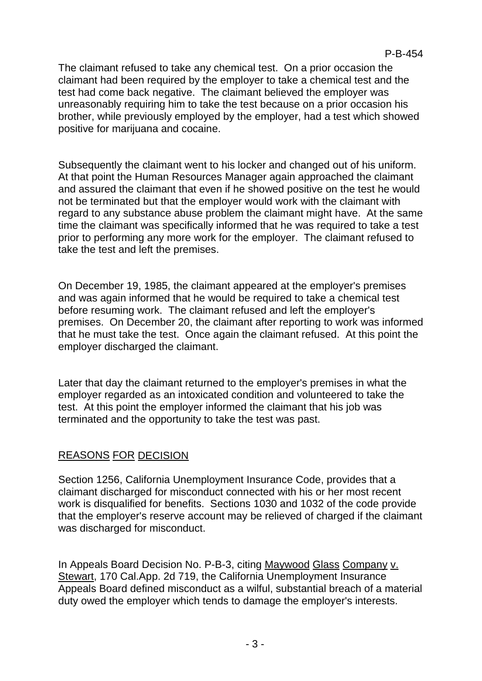The claimant refused to take any chemical test. On a prior occasion the claimant had been required by the employer to take a chemical test and the test had come back negative. The claimant believed the employer was unreasonably requiring him to take the test because on a prior occasion his brother, while previously employed by the employer, had a test which showed positive for marijuana and cocaine.

Subsequently the claimant went to his locker and changed out of his uniform. At that point the Human Resources Manager again approached the claimant and assured the claimant that even if he showed positive on the test he would not be terminated but that the employer would work with the claimant with regard to any substance abuse problem the claimant might have. At the same time the claimant was specifically informed that he was required to take a test prior to performing any more work for the employer. The claimant refused to take the test and left the premises.

On December 19, 1985, the claimant appeared at the employer's premises and was again informed that he would be required to take a chemical test before resuming work. The claimant refused and left the employer's premises. On December 20, the claimant after reporting to work was informed that he must take the test. Once again the claimant refused. At this point the employer discharged the claimant.

Later that day the claimant returned to the employer's premises in what the employer regarded as an intoxicated condition and volunteered to take the test. At this point the employer informed the claimant that his job was terminated and the opportunity to take the test was past.

# REASONS FOR DECISION

Section 1256, California Unemployment Insurance Code, provides that a claimant discharged for misconduct connected with his or her most recent work is disqualified for benefits. Sections 1030 and 1032 of the code provide that the employer's reserve account may be relieved of charged if the claimant was discharged for misconduct.

In Appeals Board Decision No. P-B-3, citing Maywood Glass Company v. Stewart, 170 Cal.App. 2d 719, the California Unemployment Insurance Appeals Board defined misconduct as a wilful, substantial breach of a material duty owed the employer which tends to damage the employer's interests.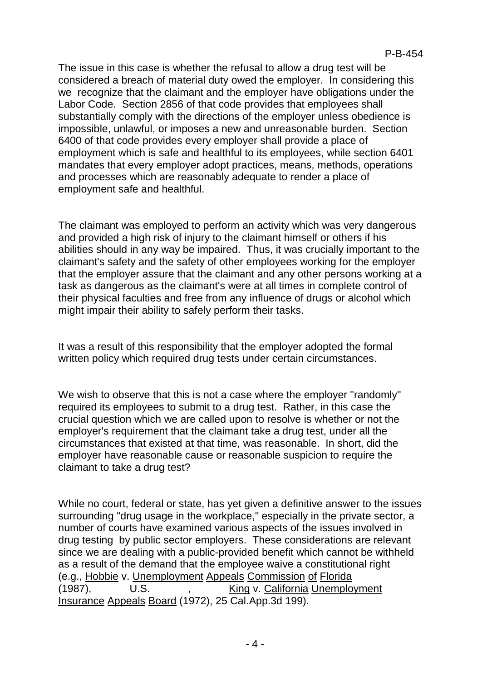The issue in this case is whether the refusal to allow a drug test will be considered a breach of material duty owed the employer. In considering this we recognize that the claimant and the employer have obligations under the Labor Code. Section 2856 of that code provides that employees shall substantially comply with the directions of the employer unless obedience is impossible, unlawful, or imposes a new and unreasonable burden. Section 6400 of that code provides every employer shall provide a place of employment which is safe and healthful to its employees, while section 6401 mandates that every employer adopt practices, means, methods, operations and processes which are reasonably adequate to render a place of employment safe and healthful.

The claimant was employed to perform an activity which was very dangerous and provided a high risk of injury to the claimant himself or others if his abilities should in any way be impaired. Thus, it was crucially important to the claimant's safety and the safety of other employees working for the employer that the employer assure that the claimant and any other persons working at a task as dangerous as the claimant's were at all times in complete control of their physical faculties and free from any influence of drugs or alcohol which might impair their ability to safely perform their tasks.

It was a result of this responsibility that the employer adopted the formal written policy which required drug tests under certain circumstances.

We wish to observe that this is not a case where the employer "randomly" required its employees to submit to a drug test. Rather, in this case the crucial question which we are called upon to resolve is whether or not the employer's requirement that the claimant take a drug test, under all the circumstances that existed at that time, was reasonable. In short, did the employer have reasonable cause or reasonable suspicion to require the claimant to take a drug test?

While no court, federal or state, has yet given a definitive answer to the issues surrounding "drug usage in the workplace," especially in the private sector, a number of courts have examined various aspects of the issues involved in drug testing by public sector employers. These considerations are relevant since we are dealing with a public-provided benefit which cannot be withheld as a result of the demand that the employee waive a constitutional right (e.g., Hobbie v. Unemployment Appeals Commission of Florida (1987), U.S. , King v. California Unemployment Insurance Appeals Board (1972), 25 Cal.App.3d 199).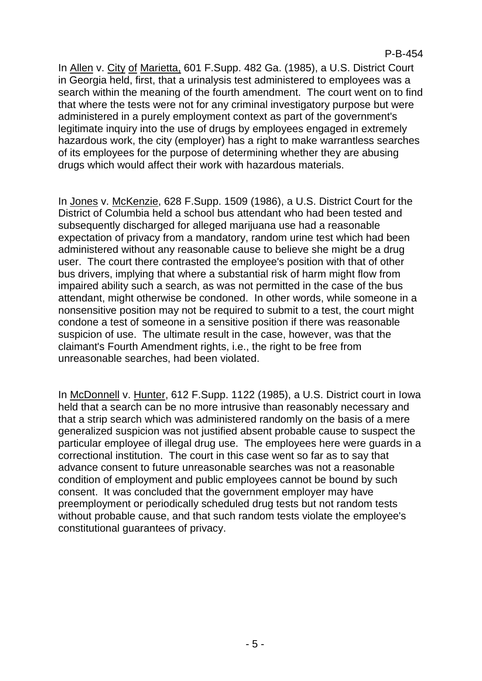In Allen v. City of Marietta, 601 F.Supp. 482 Ga. (1985), a U.S. District Court in Georgia held, first, that a urinalysis test administered to employees was a search within the meaning of the fourth amendment. The court went on to find that where the tests were not for any criminal investigatory purpose but were administered in a purely employment context as part of the government's legitimate inquiry into the use of drugs by employees engaged in extremely hazardous work, the city (employer) has a right to make warrantless searches of its employees for the purpose of determining whether they are abusing drugs which would affect their work with hazardous materials.

In Jones v. McKenzie, 628 F.Supp. 1509 (1986), a U.S. District Court for the District of Columbia held a school bus attendant who had been tested and subsequently discharged for alleged marijuana use had a reasonable expectation of privacy from a mandatory, random urine test which had been administered without any reasonable cause to believe she might be a drug user. The court there contrasted the employee's position with that of other bus drivers, implying that where a substantial risk of harm might flow from impaired ability such a search, as was not permitted in the case of the bus attendant, might otherwise be condoned. In other words, while someone in a nonsensitive position may not be required to submit to a test, the court might condone a test of someone in a sensitive position if there was reasonable suspicion of use. The ultimate result in the case, however, was that the claimant's Fourth Amendment rights, i.e., the right to be free from unreasonable searches, had been violated.

In McDonnell v. Hunter, 612 F.Supp. 1122 (1985), a U.S. District court in Iowa held that a search can be no more intrusive than reasonably necessary and that a strip search which was administered randomly on the basis of a mere generalized suspicion was not justified absent probable cause to suspect the particular employee of illegal drug use. The employees here were guards in a correctional institution. The court in this case went so far as to say that advance consent to future unreasonable searches was not a reasonable condition of employment and public employees cannot be bound by such consent. It was concluded that the government employer may have preemployment or periodically scheduled drug tests but not random tests without probable cause, and that such random tests violate the employee's constitutional guarantees of privacy.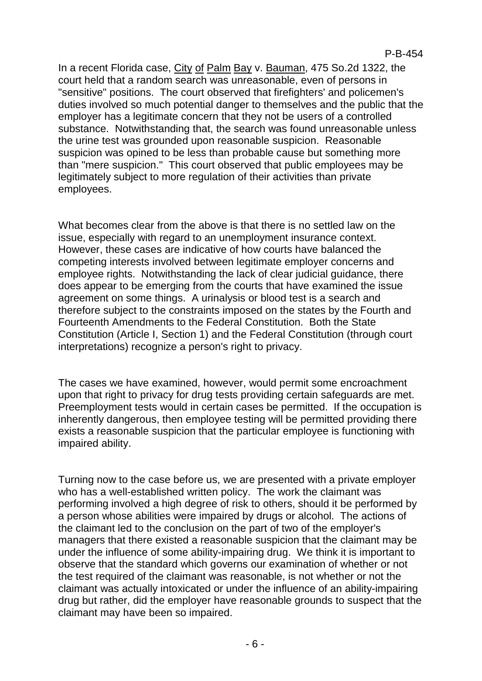In a recent Florida case, City of Palm Bay v. Bauman, 475 So.2d 1322, the court held that a random search was unreasonable, even of persons in "sensitive" positions. The court observed that firefighters' and policemen's duties involved so much potential danger to themselves and the public that the employer has a legitimate concern that they not be users of a controlled substance. Notwithstanding that, the search was found unreasonable unless the urine test was grounded upon reasonable suspicion. Reasonable suspicion was opined to be less than probable cause but something more than "mere suspicion." This court observed that public employees may be legitimately subject to more regulation of their activities than private employees.

What becomes clear from the above is that there is no settled law on the issue, especially with regard to an unemployment insurance context. However, these cases are indicative of how courts have balanced the competing interests involved between legitimate employer concerns and employee rights. Notwithstanding the lack of clear judicial guidance, there does appear to be emerging from the courts that have examined the issue agreement on some things. A urinalysis or blood test is a search and therefore subject to the constraints imposed on the states by the Fourth and Fourteenth Amendments to the Federal Constitution. Both the State Constitution (Article I, Section 1) and the Federal Constitution (through court interpretations) recognize a person's right to privacy.

The cases we have examined, however, would permit some encroachment upon that right to privacy for drug tests providing certain safeguards are met. Preemployment tests would in certain cases be permitted. If the occupation is inherently dangerous, then employee testing will be permitted providing there exists a reasonable suspicion that the particular employee is functioning with impaired ability.

Turning now to the case before us, we are presented with a private employer who has a well-established written policy. The work the claimant was performing involved a high degree of risk to others, should it be performed by a person whose abilities were impaired by drugs or alcohol. The actions of the claimant led to the conclusion on the part of two of the employer's managers that there existed a reasonable suspicion that the claimant may be under the influence of some ability-impairing drug. We think it is important to observe that the standard which governs our examination of whether or not the test required of the claimant was reasonable, is not whether or not the claimant was actually intoxicated or under the influence of an ability-impairing drug but rather, did the employer have reasonable grounds to suspect that the claimant may have been so impaired.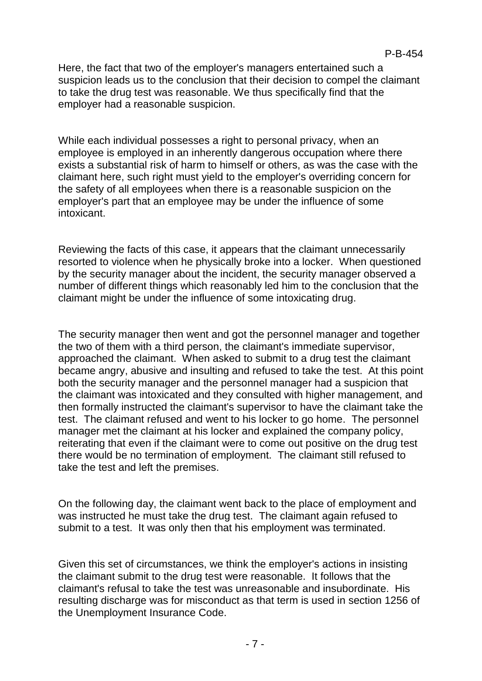Here, the fact that two of the employer's managers entertained such a suspicion leads us to the conclusion that their decision to compel the claimant to take the drug test was reasonable. We thus specifically find that the employer had a reasonable suspicion.

While each individual possesses a right to personal privacy, when an employee is employed in an inherently dangerous occupation where there exists a substantial risk of harm to himself or others, as was the case with the claimant here, such right must yield to the employer's overriding concern for the safety of all employees when there is a reasonable suspicion on the employer's part that an employee may be under the influence of some intoxicant.

Reviewing the facts of this case, it appears that the claimant unnecessarily resorted to violence when he physically broke into a locker. When questioned by the security manager about the incident, the security manager observed a number of different things which reasonably led him to the conclusion that the claimant might be under the influence of some intoxicating drug.

The security manager then went and got the personnel manager and together the two of them with a third person, the claimant's immediate supervisor, approached the claimant. When asked to submit to a drug test the claimant became angry, abusive and insulting and refused to take the test. At this point both the security manager and the personnel manager had a suspicion that the claimant was intoxicated and they consulted with higher management, and then formally instructed the claimant's supervisor to have the claimant take the test. The claimant refused and went to his locker to go home. The personnel manager met the claimant at his locker and explained the company policy, reiterating that even if the claimant were to come out positive on the drug test there would be no termination of employment. The claimant still refused to take the test and left the premises.

On the following day, the claimant went back to the place of employment and was instructed he must take the drug test. The claimant again refused to submit to a test. It was only then that his employment was terminated.

Given this set of circumstances, we think the employer's actions in insisting the claimant submit to the drug test were reasonable. It follows that the claimant's refusal to take the test was unreasonable and insubordinate. His resulting discharge was for misconduct as that term is used in section 1256 of the Unemployment Insurance Code.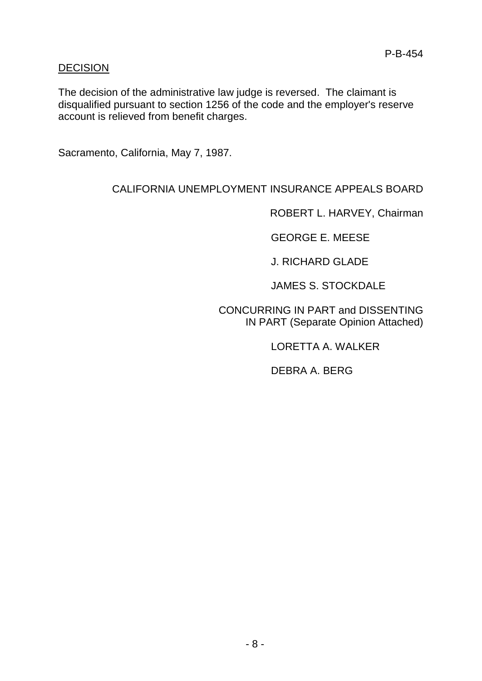### DECISION

The decision of the administrative law judge is reversed. The claimant is disqualified pursuant to section 1256 of the code and the employer's reserve account is relieved from benefit charges.

Sacramento, California, May 7, 1987.

# CALIFORNIA UNEMPLOYMENT INSURANCE APPEALS BOARD

ROBERT L. HARVEY, Chairman

GEORGE E. MEESE

J. RICHARD GLADE

JAMES S. STOCKDALE

CONCURRING IN PART and DISSENTING IN PART (Separate Opinion Attached)

LORETTA A. WALKER

DEBRA A. BERG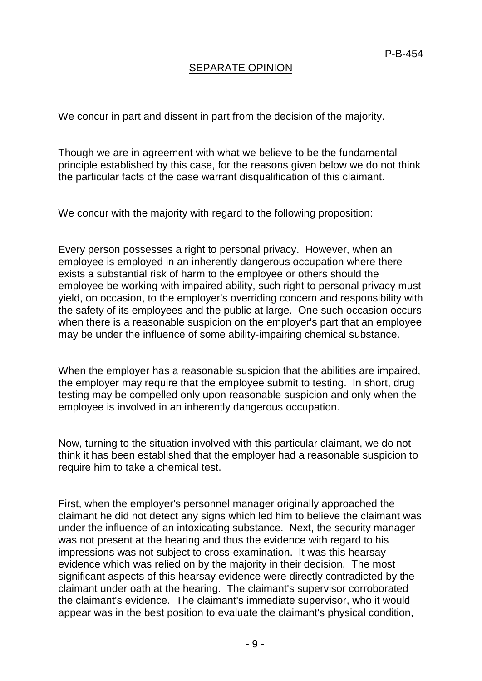## SEPARATE OPINION

We concur in part and dissent in part from the decision of the majority.

Though we are in agreement with what we believe to be the fundamental principle established by this case, for the reasons given below we do not think the particular facts of the case warrant disqualification of this claimant.

We concur with the majority with regard to the following proposition:

Every person possesses a right to personal privacy. However, when an employee is employed in an inherently dangerous occupation where there exists a substantial risk of harm to the employee or others should the employee be working with impaired ability, such right to personal privacy must yield, on occasion, to the employer's overriding concern and responsibility with the safety of its employees and the public at large. One such occasion occurs when there is a reasonable suspicion on the employer's part that an employee may be under the influence of some ability-impairing chemical substance.

When the employer has a reasonable suspicion that the abilities are impaired, the employer may require that the employee submit to testing. In short, drug testing may be compelled only upon reasonable suspicion and only when the employee is involved in an inherently dangerous occupation.

Now, turning to the situation involved with this particular claimant, we do not think it has been established that the employer had a reasonable suspicion to require him to take a chemical test.

First, when the employer's personnel manager originally approached the claimant he did not detect any signs which led him to believe the claimant was under the influence of an intoxicating substance. Next, the security manager was not present at the hearing and thus the evidence with regard to his impressions was not subject to cross-examination. It was this hearsay evidence which was relied on by the majority in their decision. The most significant aspects of this hearsay evidence were directly contradicted by the claimant under oath at the hearing. The claimant's supervisor corroborated the claimant's evidence. The claimant's immediate supervisor, who it would appear was in the best position to evaluate the claimant's physical condition,